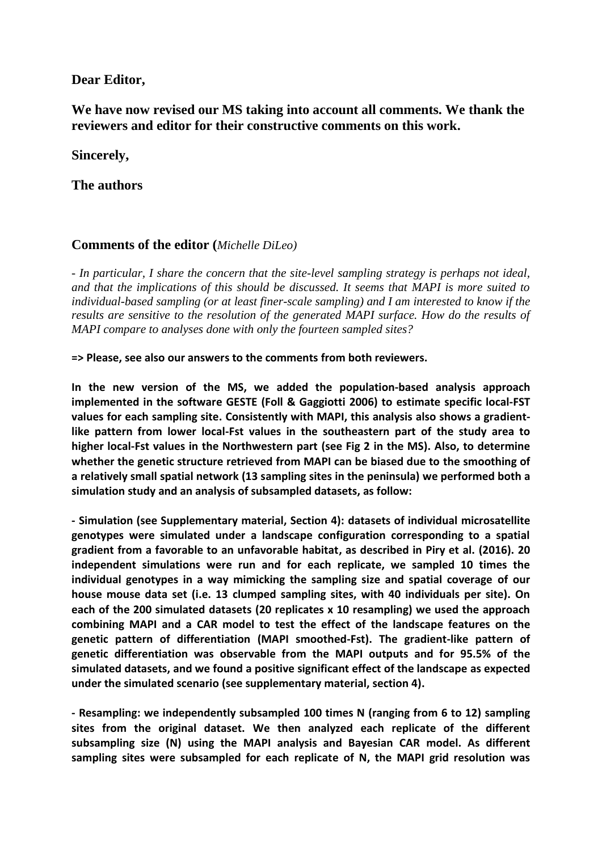# **Dear Editor,**

# **We have now revised our MS taking into account all comments. We thank the reviewers and editor for their constructive comments on this work.**

# **Sincerely,**

# **The authors**

# **Comments of the editor (***Michelle DiLeo)*

*- In particular, I share the concern that the site-level sampling strategy is perhaps not ideal, and that the implications of this should be discussed. It seems that MAPI is more suited to individual-based sampling (or at least finer-scale sampling) and I am interested to know if the results are sensitive to the resolution of the generated MAPI surface. How do the results of MAPI compare to analyses done with only the fourteen sampled sites?* 

**=> Please, see also our answers to the comments from both reviewers.**

**In the new version of the MS, we added the population-based analysis approach implemented in the software GESTE (Foll & Gaggiotti 2006) to estimate specific local-FST values for each sampling site. Consistently with MAPI, this analysis also shows a gradientlike pattern from lower local-Fst values in the southeastern part of the study area to higher local-Fst values in the Northwestern part (see Fig 2 in the MS). Also, to determine whether the genetic structure retrieved from MAPI can be biased due to the smoothing of a relatively small spatial network (13 sampling sites in the peninsula) we performed both a simulation study and an analysis of subsampled datasets, as follow:** 

**- Simulation (see Supplementary material, Section 4): datasets of individual microsatellite genotypes were simulated under a landscape configuration corresponding to a spatial gradient from a favorable to an unfavorable habitat, as described in Piry et al. (2016). 20 independent simulations were run and for each replicate, we sampled 10 times the individual genotypes in a way mimicking the sampling size and spatial coverage of our house mouse data set (i.e. 13 clumped sampling sites, with 40 individuals per site). On each of the 200 simulated datasets (20 replicates x 10 resampling) we used the approach combining MAPI and a CAR model to test the effect of the landscape features on the genetic pattern of differentiation (MAPI smoothed-Fst). The gradient-like pattern of genetic differentiation was observable from the MAPI outputs and for 95.5% of the simulated datasets, and we found a positive significant effect of the landscape as expected under the simulated scenario (see supplementary material, section 4).**

**- Resampling: we independently subsampled 100 times N (ranging from 6 to 12) sampling sites from the original dataset. We then analyzed each replicate of the different subsampling size (N) using the MAPI analysis and Bayesian CAR model. As different sampling sites were subsampled for each replicate of N, the MAPI grid resolution was**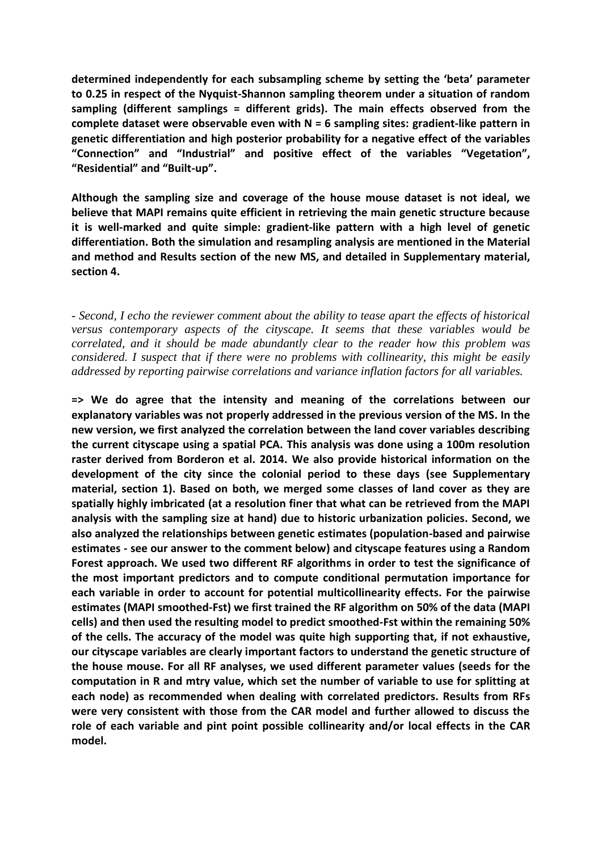**determined independently for each subsampling scheme by setting the 'beta' parameter to 0.25 in respect of the Nyquist-Shannon sampling theorem under a situation of random sampling (different samplings = different grids). The main effects observed from the complete dataset were observable even with N = 6 sampling sites: gradient-like pattern in genetic differentiation and high posterior probability for a negative effect of the variables "Connection" and "Industrial" and positive effect of the variables "Vegetation", "Residential" and "Built-up".**

**Although the sampling size and coverage of the house mouse dataset is not ideal, we believe that MAPI remains quite efficient in retrieving the main genetic structure because it is well-marked and quite simple: gradient-like pattern with a high level of genetic differentiation. Both the simulation and resampling analysis are mentioned in the Material and method and Results section of the new MS, and detailed in Supplementary material, section 4.** 

*- Second, I echo the reviewer comment about the ability to tease apart the effects of historical versus contemporary aspects of the cityscape. It seems that these variables would be correlated, and it should be made abundantly clear to the reader how this problem was considered. I suspect that if there were no problems with collinearity, this might be easily addressed by reporting pairwise correlations and variance inflation factors for all variables.*

**=> We do agree that the intensity and meaning of the correlations between our explanatory variables was not properly addressed in the previous version of the MS. In the new version, we first analyzed the correlation between the land cover variables describing the current cityscape using a spatial PCA. This analysis was done using a 100m resolution raster derived from Borderon et al. 2014. We also provide historical information on the development of the city since the colonial period to these days (see Supplementary material, section 1). Based on both, we merged some classes of land cover as they are spatially highly imbricated (at a resolution finer that what can be retrieved from the MAPI analysis with the sampling size at hand) due to historic urbanization policies. Second, we also analyzed the relationships between genetic estimates (population-based and pairwise estimates - see our answer to the comment below) and cityscape features using a Random Forest approach. We used two different RF algorithms in order to test the significance of the most important predictors and to compute conditional permutation importance for each variable in order to account for potential multicollinearity effects. For the pairwise estimates (MAPI smoothed-Fst) we first trained the RF algorithm on 50% of the data (MAPI cells) and then used the resulting model to predict smoothed-Fst within the remaining 50% of the cells. The accuracy of the model was quite high supporting that, if not exhaustive, our cityscape variables are clearly important factors to understand the genetic structure of the house mouse. For all RF analyses, we used different parameter values (seeds for the computation in R and mtry value, which set the number of variable to use for splitting at each node) as recommended when dealing with correlated predictors. Results from RFs were very consistent with those from the CAR model and further allowed to discuss the role of each variable and pint point possible collinearity and/or local effects in the CAR model.**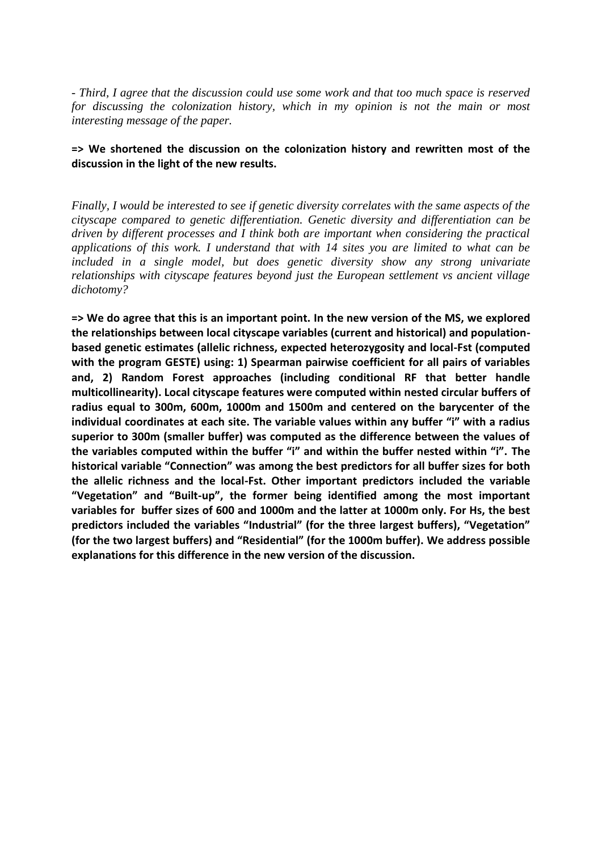*- Third, I agree that the discussion could use some work and that too much space is reserved for discussing the colonization history, which in my opinion is not the main or most interesting message of the paper.* 

### **=> We shortened the discussion on the colonization history and rewritten most of the discussion in the light of the new results.**

*Finally, I would be interested to see if genetic diversity correlates with the same aspects of the cityscape compared to genetic differentiation. Genetic diversity and differentiation can be driven by different processes and I think both are important when considering the practical applications of this work. I understand that with 14 sites you are limited to what can be included in a single model, but does genetic diversity show any strong univariate relationships with cityscape features beyond just the European settlement vs ancient village dichotomy?*

**=> We do agree that this is an important point. In the new version of the MS, we explored the relationships between local cityscape variables (current and historical) and populationbased genetic estimates (allelic richness, expected heterozygosity and local-Fst (computed with the program GESTE) using: 1) Spearman pairwise coefficient for all pairs of variables and, 2) Random Forest approaches (including conditional RF that better handle multicollinearity). Local cityscape features were computed within nested circular buffers of radius equal to 300m, 600m, 1000m and 1500m and centered on the barycenter of the individual coordinates at each site. The variable values within any buffer "i" with a radius superior to 300m (smaller buffer) was computed as the difference between the values of the variables computed within the buffer "i" and within the buffer nested within "i". The historical variable "Connection" was among the best predictors for all buffer sizes for both the allelic richness and the local-Fst. Other important predictors included the variable "Vegetation" and "Built-up", the former being identified among the most important variables for buffer sizes of 600 and 1000m and the latter at 1000m only. For Hs, the best predictors included the variables "Industrial" (for the three largest buffers), "Vegetation" (for the two largest buffers) and "Residential" (for the 1000m buffer). We address possible explanations for this difference in the new version of the discussion.**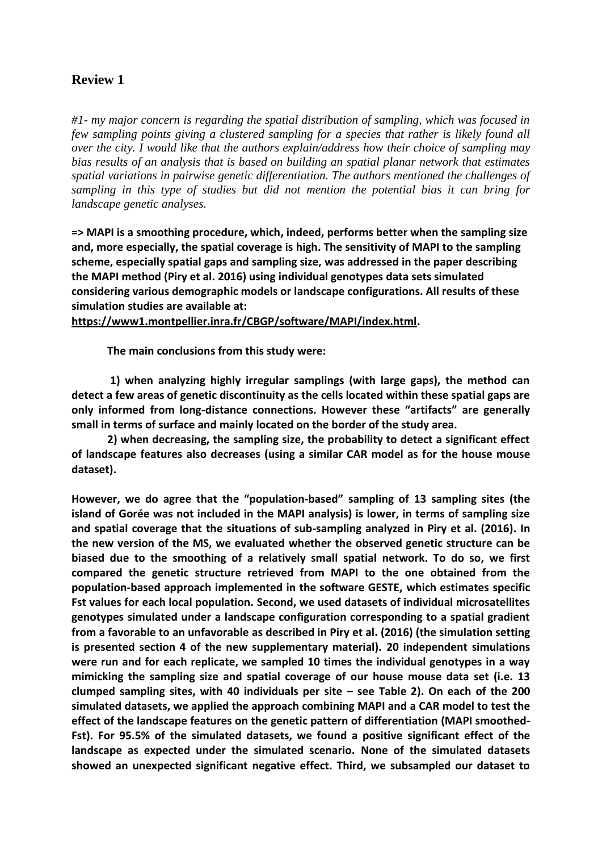# **Review 1**

*#1- my major concern is regarding the spatial distribution of sampling, which was focused in few sampling points giving a clustered sampling for a species that rather is likely found all over the city. I would like that the authors explain/address how their choice of sampling may bias results of an analysis that is based on building an spatial planar network that estimates spatial variations in pairwise genetic differentiation. The authors mentioned the challenges of sampling in this type of studies but did not mention the potential bias it can bring for landscape genetic analyses.* 

**=> MAPI is a smoothing procedure, which, indeed, performs better when the sampling size and, more especially, the spatial coverage is high. The sensitivity of MAPI to the sampling scheme, especially spatial gaps and sampling size, was addressed in the paper describing the MAPI method (Piry et al. 2016) using individual genotypes data sets simulated considering various demographic models or landscape configurations. All results of these simulation studies are available at:** 

**[https://www1.montpellier.inra.fr/CBGP/software/MAPI/index.html.](https://www1.montpellier.inra.fr/CBGP/software/MAPI/index.html)**

**The main conclusions from this study were:**

**1) when analyzing highly irregular samplings (with large gaps), the method can detect a few areas of genetic discontinuity as the cells located within these spatial gaps are only informed from long-distance connections. However these "artifacts" are generally small in terms of surface and mainly located on the border of the study area.** 

**2) when decreasing, the sampling size, the probability to detect a significant effect of landscape features also decreases (using a similar CAR model as for the house mouse dataset).**

**However, we do agree that the "population-based" sampling of 13 sampling sites (the island of Gorée was not included in the MAPI analysis) is lower, in terms of sampling size and spatial coverage that the situations of sub-sampling analyzed in Piry et al. (2016). In the new version of the MS, we evaluated whether the observed genetic structure can be biased due to the smoothing of a relatively small spatial network. To do so, we first compared the genetic structure retrieved from MAPI to the one obtained from the population-based approach implemented in the software GESTE, which estimates specific Fst values for each local population. Second, we used datasets of individual microsatellites genotypes simulated under a landscape configuration corresponding to a spatial gradient from a favorable to an unfavorable as described in Piry et al. (2016) (the simulation setting is presented section 4 of the new supplementary material). 20 independent simulations were run and for each replicate, we sampled 10 times the individual genotypes in a way mimicking the sampling size and spatial coverage of our house mouse data set (i.e. 13 clumped sampling sites, with 40 individuals per site – see Table 2). On each of the 200 simulated datasets, we applied the approach combining MAPI and a CAR model to test the effect of the landscape features on the genetic pattern of differentiation (MAPI smoothed-Fst). For 95.5% of the simulated datasets, we found a positive significant effect of the landscape as expected under the simulated scenario. None of the simulated datasets showed an unexpected significant negative effect. Third, we subsampled our dataset to**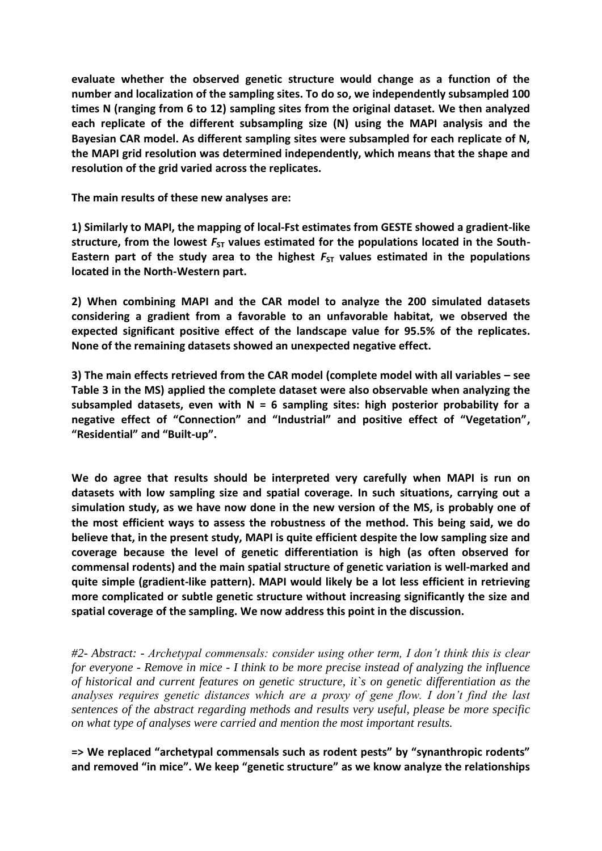**evaluate whether the observed genetic structure would change as a function of the number and localization of the sampling sites. To do so, we independently subsampled 100 times N (ranging from 6 to 12) sampling sites from the original dataset. We then analyzed each replicate of the different subsampling size (N) using the MAPI analysis and the Bayesian CAR model. As different sampling sites were subsampled for each replicate of N, the MAPI grid resolution was determined independently, which means that the shape and resolution of the grid varied across the replicates.**

**The main results of these new analyses are:**

**1) Similarly to MAPI, the mapping of local-Fst estimates from GESTE showed a gradient-like**  structure, from the lowest  $F_{ST}$  values estimated for the populations located in the South-Eastern part of the study area to the highest  $F_{ST}$  values estimated in the populations **located in the North-Western part.** 

**2) When combining MAPI and the CAR model to analyze the 200 simulated datasets considering a gradient from a favorable to an unfavorable habitat, we observed the expected significant positive effect of the landscape value for 95.5% of the replicates. None of the remaining datasets showed an unexpected negative effect.**

**3) The main effects retrieved from the CAR model (complete model with all variables – see Table 3 in the MS) applied the complete dataset were also observable when analyzing the subsampled datasets, even with N = 6 sampling sites: high posterior probability for a negative effect of "Connection" and "Industrial" and positive effect of "Vegetation", "Residential" and "Built-up".**

**We do agree that results should be interpreted very carefully when MAPI is run on datasets with low sampling size and spatial coverage. In such situations, carrying out a simulation study, as we have now done in the new version of the MS, is probably one of the most efficient ways to assess the robustness of the method. This being said, we do believe that, in the present study, MAPI is quite efficient despite the low sampling size and coverage because the level of genetic differentiation is high (as often observed for commensal rodents) and the main spatial structure of genetic variation is well-marked and quite simple (gradient-like pattern). MAPI would likely be a lot less efficient in retrieving more complicated or subtle genetic structure without increasing significantly the size and spatial coverage of the sampling. We now address this point in the discussion.**

*#2- Abstract: - Archetypal commensals: consider using other term, I don't think this is clear for everyone - Remove in mice - I think to be more precise instead of analyzing the influence of historical and current features on genetic structure, it`s on genetic differentiation as the analyses requires genetic distances which are a proxy of gene flow. I don't find the last sentences of the abstract regarding methods and results very useful, please be more specific on what type of analyses were carried and mention the most important results.*

**=> We replaced "archetypal commensals such as rodent pests" by "synanthropic rodents" and removed "in mice". We keep "genetic structure" as we know analyze the relationships**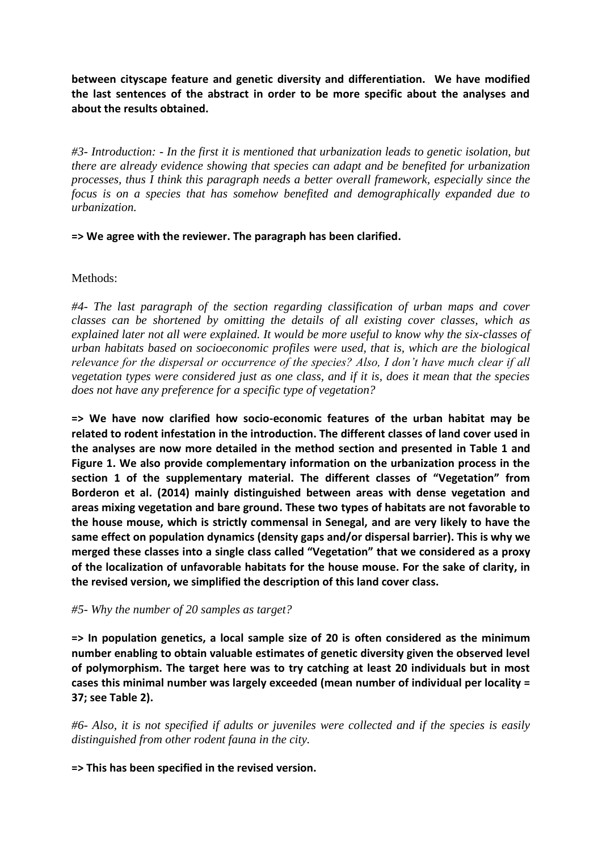**between cityscape feature and genetic diversity and differentiation. We have modified the last sentences of the abstract in order to be more specific about the analyses and about the results obtained.** 

*#3- Introduction: - In the first it is mentioned that urbanization leads to genetic isolation, but there are already evidence showing that species can adapt and be benefited for urbanization processes, thus I think this paragraph needs a better overall framework, especially since the focus is on a species that has somehow benefited and demographically expanded due to urbanization.* 

**=> We agree with the reviewer. The paragraph has been clarified.**

### Methods:

*#4- The last paragraph of the section regarding classification of urban maps and cover classes can be shortened by omitting the details of all existing cover classes, which as explained later not all were explained. It would be more useful to know why the six-classes of urban habitats based on socioeconomic profiles were used, that is, which are the biological relevance for the dispersal or occurrence of the species? Also, I don't have much clear if all vegetation types were considered just as one class, and if it is, does it mean that the species does not have any preference for a specific type of vegetation?*

**=> We have now clarified how socio-economic features of the urban habitat may be related to rodent infestation in the introduction. The different classes of land cover used in the analyses are now more detailed in the method section and presented in Table 1 and Figure 1. We also provide complementary information on the urbanization process in the section 1 of the supplementary material. The different classes of "Vegetation" from Borderon et al. (2014) mainly distinguished between areas with dense vegetation and areas mixing vegetation and bare ground. These two types of habitats are not favorable to the house mouse, which is strictly commensal in Senegal, and are very likely to have the same effect on population dynamics (density gaps and/or dispersal barrier). This is why we merged these classes into a single class called "Vegetation" that we considered as a proxy of the localization of unfavorable habitats for the house mouse. For the sake of clarity, in the revised version, we simplified the description of this land cover class.**

### *#5- Why the number of 20 samples as target?*

**=> In population genetics, a local sample size of 20 is often considered as the minimum number enabling to obtain valuable estimates of genetic diversity given the observed level of polymorphism. The target here was to try catching at least 20 individuals but in most cases this minimal number was largely exceeded (mean number of individual per locality = 37; see Table 2).**

*#6- Also, it is not specified if adults or juveniles were collected and if the species is easily distinguished from other rodent fauna in the city.* 

**=> This has been specified in the revised version.**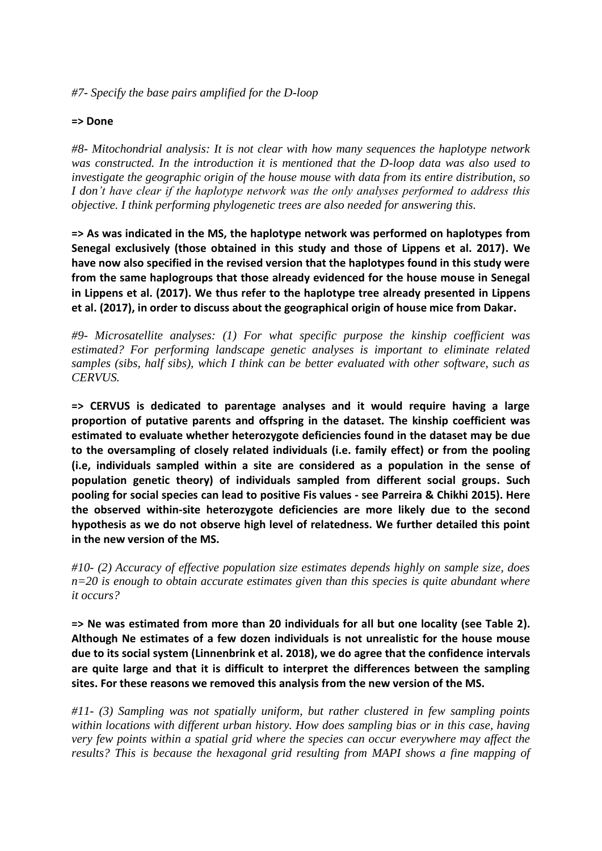*#7- Specify the base pairs amplified for the D-loop*

#### **=> Done**

*#8- Mitochondrial analysis: It is not clear with how many sequences the haplotype network was constructed. In the introduction it is mentioned that the D-loop data was also used to investigate the geographic origin of the house mouse with data from its entire distribution, so I don't have clear if the haplotype network was the only analyses performed to address this objective. I think performing phylogenetic trees are also needed for answering this.* 

**=> As was indicated in the MS, the haplotype network was performed on haplotypes from Senegal exclusively (those obtained in this study and those of Lippens et al. 2017). We have now also specified in the revised version that the haplotypes found in this study were from the same haplogroups that those already evidenced for the house mouse in Senegal in Lippens et al. (2017). We thus refer to the haplotype tree already presented in Lippens et al. (2017), in order to discuss about the geographical origin of house mice from Dakar.** 

*#9- Microsatellite analyses: (1) For what specific purpose the kinship coefficient was estimated? For performing landscape genetic analyses is important to eliminate related samples (sibs, half sibs), which I think can be better evaluated with other software, such as CERVUS.* 

**=> CERVUS is dedicated to parentage analyses and it would require having a large proportion of putative parents and offspring in the dataset. The kinship coefficient was estimated to evaluate whether heterozygote deficiencies found in the dataset may be due to the oversampling of closely related individuals (i.e. family effect) or from the pooling (i.e, individuals sampled within a site are considered as a population in the sense of population genetic theory) of individuals sampled from different social groups. Such pooling for social species can lead to positive Fis values - see Parreira & Chikhi 2015). Here the observed within-site heterozygote deficiencies are more likely due to the second hypothesis as we do not observe high level of relatedness. We further detailed this point in the new version of the MS.**

*#10- (2) Accuracy of effective population size estimates depends highly on sample size, does n=20 is enough to obtain accurate estimates given than this species is quite abundant where it occurs?* 

**=> Ne was estimated from more than 20 individuals for all but one locality (see Table 2). Although Ne estimates of a few dozen individuals is not unrealistic for the house mouse due to its social system (Linnenbrink et al. 2018), we do agree that the confidence intervals are quite large and that it is difficult to interpret the differences between the sampling sites. For these reasons we removed this analysis from the new version of the MS.**

*#11- (3) Sampling was not spatially uniform, but rather clustered in few sampling points within locations with different urban history. How does sampling bias or in this case, having very few points within a spatial grid where the species can occur everywhere may affect the results? This is because the hexagonal grid resulting from MAPI shows a fine mapping of*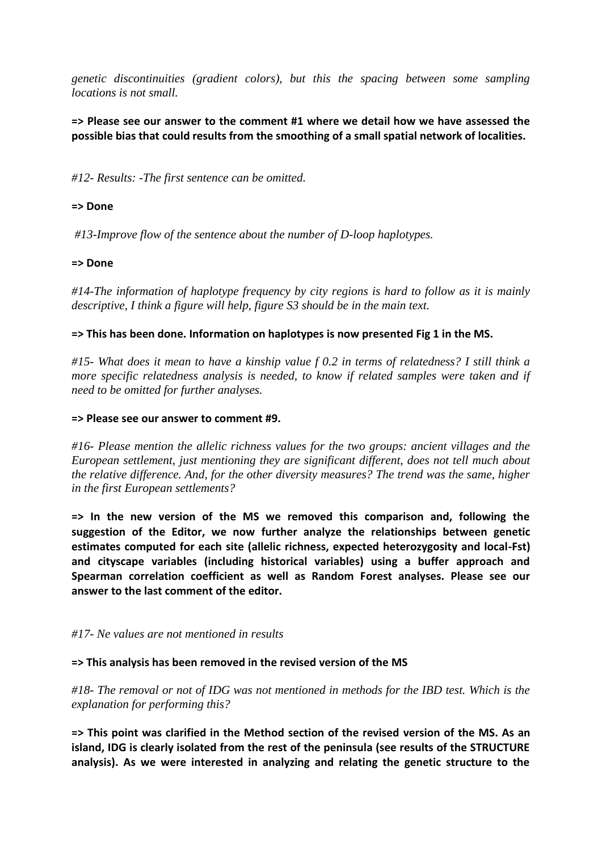*genetic discontinuities (gradient colors), but this the spacing between some sampling locations is not small.* 

### **=> Please see our answer to the comment #1 where we detail how we have assessed the possible bias that could results from the smoothing of a small spatial network of localities.**

*#12- Results: -The first sentence can be omitted.*

#### **=> Done**

*#13-Improve flow of the sentence about the number of D-loop haplotypes.* 

#### **=> Done**

*#14-The information of haplotype frequency by city regions is hard to follow as it is mainly descriptive, I think a figure will help, figure S3 should be in the main text.* 

#### **=> This has been done. Information on haplotypes is now presented Fig 1 in the MS.**

*#15- What does it mean to have a kinship value f 0.2 in terms of relatedness? I still think a more specific relatedness analysis is needed, to know if related samples were taken and if need to be omitted for further analyses.* 

#### **=> Please see our answer to comment #9.**

*#16- Please mention the allelic richness values for the two groups: ancient villages and the European settlement, just mentioning they are significant different, does not tell much about the relative difference. And, for the other diversity measures? The trend was the same, higher in the first European settlements?* 

**=> In the new version of the MS we removed this comparison and, following the suggestion of the Editor, we now further analyze the relationships between genetic estimates computed for each site (allelic richness, expected heterozygosity and local-Fst) and cityscape variables (including historical variables) using a buffer approach and Spearman correlation coefficient as well as Random Forest analyses. Please see our answer to the last comment of the editor.**

#### *#17- Ne values are not mentioned in results*

#### **=> This analysis has been removed in the revised version of the MS**

*#18- The removal or not of IDG was not mentioned in methods for the IBD test. Which is the explanation for performing this?*

**=> This point was clarified in the Method section of the revised version of the MS. As an island, IDG is clearly isolated from the rest of the peninsula (see results of the STRUCTURE analysis). As we were interested in analyzing and relating the genetic structure to the**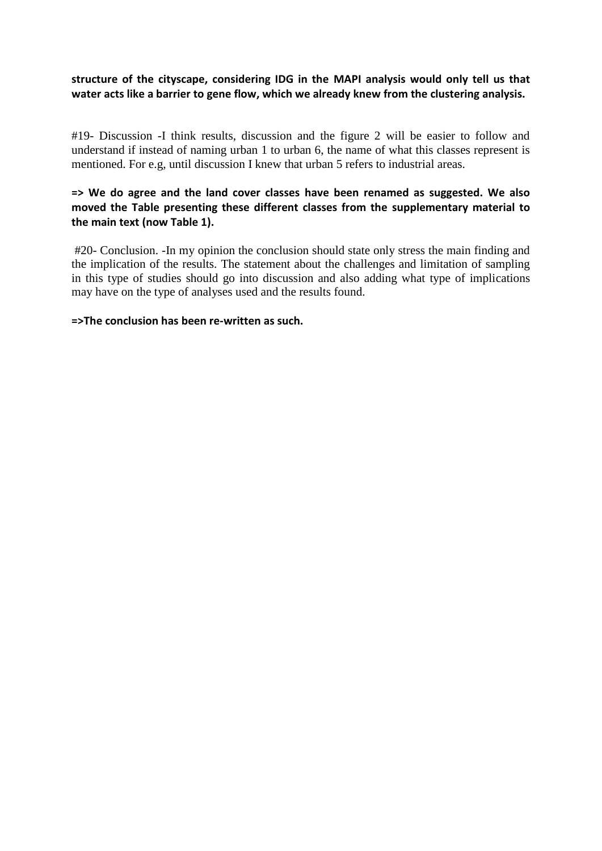### **structure of the cityscape, considering IDG in the MAPI analysis would only tell us that water acts like a barrier to gene flow, which we already knew from the clustering analysis.**

#19- Discussion -I think results, discussion and the figure 2 will be easier to follow and understand if instead of naming urban 1 to urban 6, the name of what this classes represent is mentioned. For e.g, until discussion I knew that urban 5 refers to industrial areas.

### **=> We do agree and the land cover classes have been renamed as suggested. We also moved the Table presenting these different classes from the supplementary material to the main text (now Table 1).**

#20- Conclusion. -In my opinion the conclusion should state only stress the main finding and the implication of the results. The statement about the challenges and limitation of sampling in this type of studies should go into discussion and also adding what type of implications may have on the type of analyses used and the results found.

#### **=>The conclusion has been re-written as such.**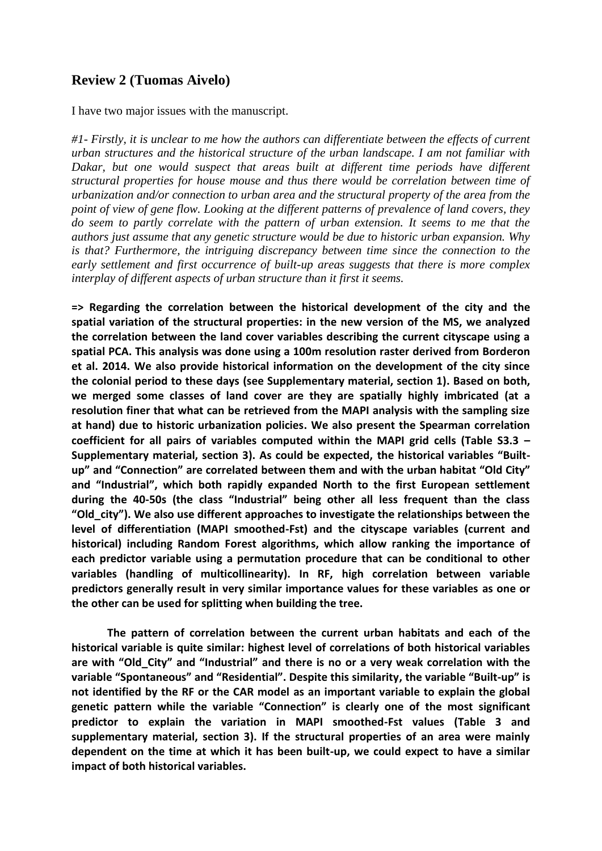# **Review 2 (Tuomas Aivelo)**

I have two major issues with the manuscript.

*#1- Firstly, it is unclear to me how the authors can differentiate between the effects of current urban structures and the historical structure of the urban landscape. I am not familiar with Dakar, but one would suspect that areas built at different time periods have different structural properties for house mouse and thus there would be correlation between time of urbanization and/or connection to urban area and the structural property of the area from the point of view of gene flow. Looking at the different patterns of prevalence of land covers, they do seem to partly correlate with the pattern of urban extension. It seems to me that the authors just assume that any genetic structure would be due to historic urban expansion. Why is that? Furthermore, the intriguing discrepancy between time since the connection to the early settlement and first occurrence of built-up areas suggests that there is more complex interplay of different aspects of urban structure than it first it seems.*

**=> Regarding the correlation between the historical development of the city and the spatial variation of the structural properties: in the new version of the MS, we analyzed the correlation between the land cover variables describing the current cityscape using a spatial PCA. This analysis was done using a 100m resolution raster derived from Borderon et al. 2014. We also provide historical information on the development of the city since the colonial period to these days (see Supplementary material, section 1). Based on both, we merged some classes of land cover are they are spatially highly imbricated (at a resolution finer that what can be retrieved from the MAPI analysis with the sampling size at hand) due to historic urbanization policies. We also present the Spearman correlation coefficient for all pairs of variables computed within the MAPI grid cells (Table S3.3 – Supplementary material, section 3). As could be expected, the historical variables "Builtup" and "Connection" are correlated between them and with the urban habitat "Old City" and "Industrial", which both rapidly expanded North to the first European settlement during the 40-50s (the class "Industrial" being other all less frequent than the class "Old\_city"). We also use different approaches to investigate the relationships between the level of differentiation (MAPI smoothed-Fst) and the cityscape variables (current and historical) including Random Forest algorithms, which allow ranking the importance of each predictor variable using a permutation procedure that can be conditional to other variables (handling of multicollinearity). In RF, high correlation between variable predictors generally result in very similar importance values for these variables as one or the other can be used for splitting when building the tree.** 

**The pattern of correlation between the current urban habitats and each of the historical variable is quite similar: highest level of correlations of both historical variables are with "Old\_City" and "Industrial" and there is no or a very weak correlation with the variable "Spontaneous" and "Residential". Despite this similarity, the variable "Built-up" is not identified by the RF or the CAR model as an important variable to explain the global genetic pattern while the variable "Connection" is clearly one of the most significant predictor to explain the variation in MAPI smoothed-Fst values (Table 3 and supplementary material, section 3). If the structural properties of an area were mainly dependent on the time at which it has been built-up, we could expect to have a similar impact of both historical variables.**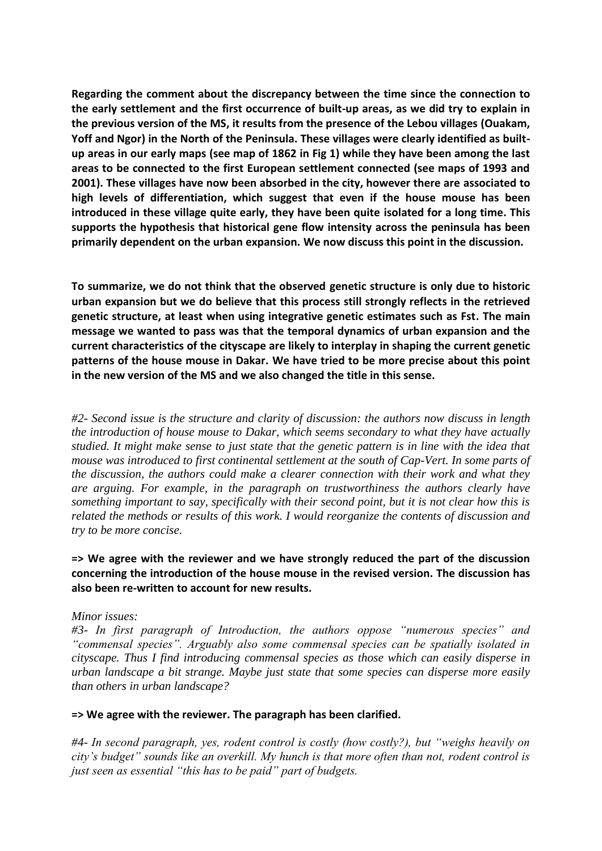**Regarding the comment about the discrepancy between the time since the connection to the early settlement and the first occurrence of built-up areas, as we did try to explain in the previous version of the MS, it results from the presence of the Lebou villages (Ouakam, Yoff and Ngor) in the North of the Peninsula. These villages were clearly identified as builtup areas in our early maps (see map of 1862 in Fig 1) while they have been among the last areas to be connected to the first European settlement connected (see maps of 1993 and 2001). These villages have now been absorbed in the city, however there are associated to high levels of differentiation, which suggest that even if the house mouse has been introduced in these village quite early, they have been quite isolated for a long time. This supports the hypothesis that historical gene flow intensity across the peninsula has been primarily dependent on the urban expansion. We now discuss this point in the discussion.**

**To summarize, we do not think that the observed genetic structure is only due to historic urban expansion but we do believe that this process still strongly reflects in the retrieved genetic structure, at least when using integrative genetic estimates such as Fst. The main message we wanted to pass was that the temporal dynamics of urban expansion and the current characteristics of the cityscape are likely to interplay in shaping the current genetic patterns of the house mouse in Dakar. We have tried to be more precise about this point in the new version of the MS and we also changed the title in this sense.**

*#2- Second issue is the structure and clarity of discussion: the authors now discuss in length the introduction of house mouse to Dakar, which seems secondary to what they have actually studied. It might make sense to just state that the genetic pattern is in line with the idea that mouse was introduced to first continental settlement at the south of Cap-Vert. In some parts of the discussion, the authors could make a clearer connection with their work and what they are arguing. For example, in the paragraph on trustworthiness the authors clearly have something important to say, specifically with their second point, but it is not clear how this is related the methods or results of this work. I would reorganize the contents of discussion and try to be more concise.*

**=> We agree with the reviewer and we have strongly reduced the part of the discussion concerning the introduction of the house mouse in the revised version. The discussion has also been re-written to account for new results.** 

#### *Minor issues:*

*#3- In first paragraph of Introduction, the authors oppose "numerous species" and "commensal species". Arguably also some commensal species can be spatially isolated in cityscape. Thus I find introducing commensal species as those which can easily disperse in urban landscape a bit strange. Maybe just state that some species can disperse more easily than others in urban landscape?* 

#### **=> We agree with the reviewer. The paragraph has been clarified.**

*#4- In second paragraph, yes, rodent control is costly (how costly?), but "weighs heavily on city's budget" sounds like an overkill. My hunch is that more often than not, rodent control is just seen as essential "this has to be paid" part of budgets.*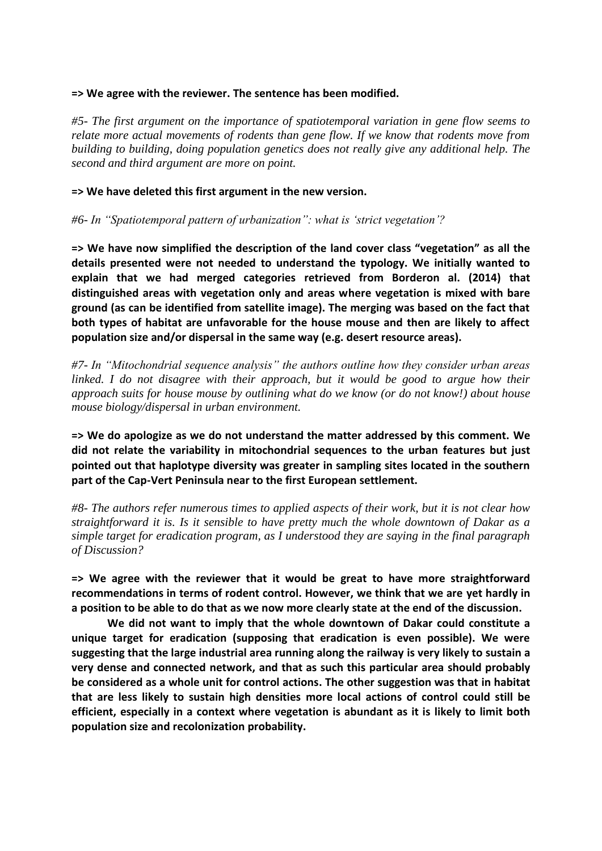#### **=> We agree with the reviewer. The sentence has been modified.**

*#5- The first argument on the importance of spatiotemporal variation in gene flow seems to relate more actual movements of rodents than gene flow. If we know that rodents move from building to building, doing population genetics does not really give any additional help. The second and third argument are more on point.* 

**=> We have deleted this first argument in the new version.** 

*#6- In "Spatiotemporal pattern of urbanization": what is 'strict vegetation'?* 

**=> We have now simplified the description of the land cover class "vegetation" as all the details presented were not needed to understand the typology. We initially wanted to explain that we had merged categories retrieved from Borderon al. (2014) that distinguished areas with vegetation only and areas where vegetation is mixed with bare ground (as can be identified from satellite image). The merging was based on the fact that both types of habitat are unfavorable for the house mouse and then are likely to affect population size and/or dispersal in the same way (e.g. desert resource areas).**

*#7- In "Mitochondrial sequence analysis" the authors outline how they consider urban areas linked. I do not disagree with their approach, but it would be good to argue how their approach suits for house mouse by outlining what do we know (or do not know!) about house mouse biology/dispersal in urban environment.* 

**=> We do apologize as we do not understand the matter addressed by this comment. We did not relate the variability in mitochondrial sequences to the urban features but just pointed out that haplotype diversity was greater in sampling sites located in the southern part of the Cap-Vert Peninsula near to the first European settlement.**

*#8- The authors refer numerous times to applied aspects of their work, but it is not clear how straightforward it is. Is it sensible to have pretty much the whole downtown of Dakar as a simple target for eradication program, as I understood they are saying in the final paragraph of Discussion?* 

**=> We agree with the reviewer that it would be great to have more straightforward recommendations in terms of rodent control. However, we think that we are yet hardly in a position to be able to do that as we now more clearly state at the end of the discussion.** 

**We did not want to imply that the whole downtown of Dakar could constitute a unique target for eradication (supposing that eradication is even possible). We were suggesting that the large industrial area running along the railway is very likely to sustain a very dense and connected network, and that as such this particular area should probably be considered as a whole unit for control actions. The other suggestion was that in habitat that are less likely to sustain high densities more local actions of control could still be efficient, especially in a context where vegetation is abundant as it is likely to limit both population size and recolonization probability.**